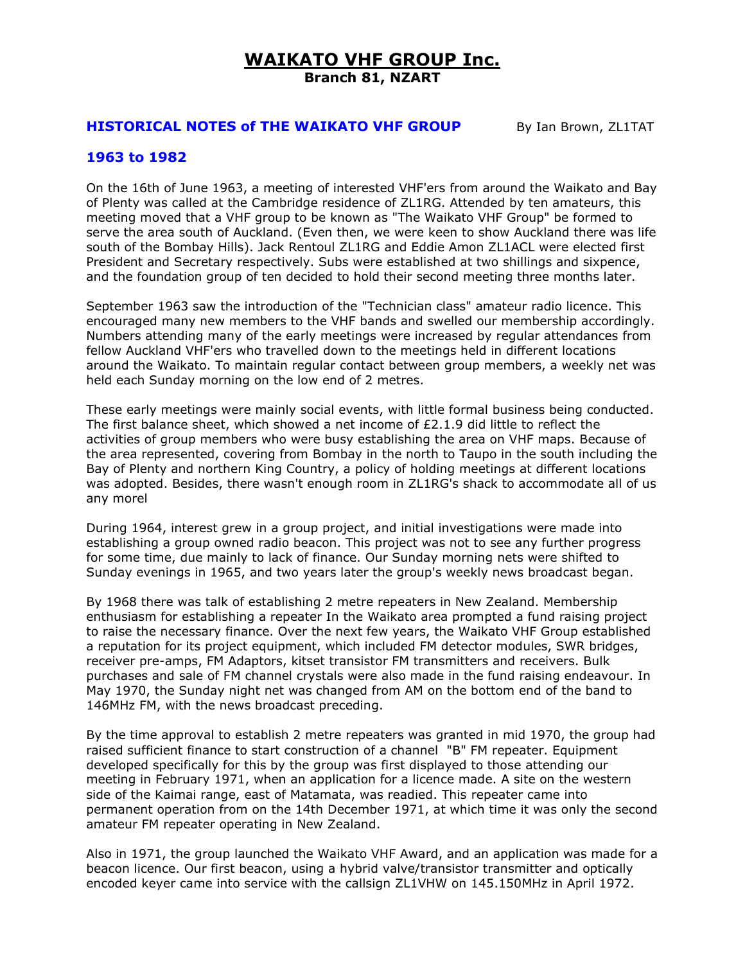# **WAIKATO VHF GROUP Inc. Branch 81, NZART**

# **HISTORICAL NOTES of THE WAIKATO VHF GROUP** By Ian Brown, ZL1TAT

# **1963 to 1982**

On the 16th of June 1963, a meeting of interested VHF'ers from around the Waikato and Bay of Plenty was called at the Cambridge residence of ZL1RG. Attended by ten amateurs, this meeting moved that a VHF group to be known as "The Waikato VHF Group" be formed to serve the area south of Auckland. (Even then, we were keen to show Auckland there was life south of the Bombay Hills). Jack Rentoul ZL1RG and Eddie Amon ZL1ACL were elected first President and Secretary respectively. Subs were established at two shillings and sixpence, and the foundation group of ten decided to hold their second meeting three months later.

September 1963 saw the introduction of the "Technician class" amateur radio licence. This encouraged many new members to the VHF bands and swelled our membership accordingly. Numbers attending many of the early meetings were increased by regular attendances from fellow Auckland VHF'ers who travelled down to the meetings held in different locations around the Waikato. To maintain regular contact between group members, a weekly net was held each Sunday morning on the low end of 2 metres.

These early meetings were mainly social events, with little formal business being conducted. The first balance sheet, which showed a net income of  $E2.1.9$  did little to reflect the activities of group members who were busy establishing the area on VHF maps. Because of the area represented, covering from Bombay in the north to Taupo in the south including the Bay of Plenty and northern King Country, a policy of holding meetings at different locations was adopted. Besides, there wasn't enough room in ZL1RG's shack to accommodate all of us any morel

During 1964, interest grew in a group project, and initial investigations were made into establishing a group owned radio beacon. This project was not to see any further progress for some time, due mainly to lack of finance. Our Sunday morning nets were shifted to Sunday evenings in 1965, and two years later the group's weekly news broadcast began.

By 1968 there was talk of establishing 2 metre repeaters in New Zealand. Membership enthusiasm for establishing a repeater In the Waikato area prompted a fund raising project to raise the necessary finance. Over the next few years, the Waikato VHF Group established a reputation for its project equipment, which included FM detector modules, SWR bridges, receiver pre-amps, FM Adaptors, kitset transistor FM transmitters and receivers. Bulk purchases and sale of FM channel crystals were also made in the fund raising endeavour. In May 1970, the Sunday night net was changed from AM on the bottom end of the band to 146MHz FM, with the news broadcast preceding.

By the time approval to establish 2 metre repeaters was granted in mid 1970, the group had raised sufficient finance to start construction of a channel "B" FM repeater. Equipment developed specifically for this by the group was first displayed to those attending our meeting in February 1971, when an application for a licence made. A site on the western side of the Kaimai range, east of Matamata, was readied. This repeater came into permanent operation from on the 14th December 1971, at which time it was only the second amateur FM repeater operating in New Zealand.

Also in 1971, the group launched the Waikato VHF Award, and an application was made for a beacon licence. Our first beacon, using a hybrid valve/transistor transmitter and optically encoded keyer came into service with the callsign ZL1VHW on 145.150MHz in April 1972.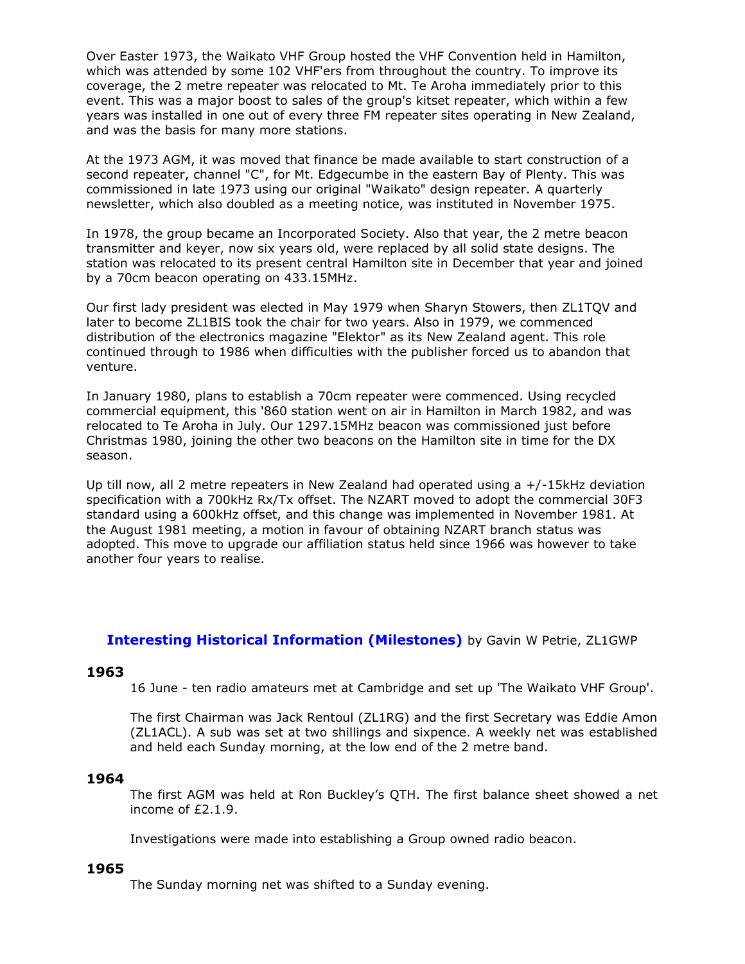Over Easter 1973, the Waikato VHF Group hosted the VHF Convention held in Hamilton, which was attended by some 102 VHF'ers from throughout the country. To improve its coverage, the 2 metre repeater was relocated to Mt. Te Aroha immediately prior to this event. This was a major boost to sales of the group's kitset repeater, which within a few years was installed in one out of every three FM repeater sites operating in New Zealand, and was the basis for many more stations.

At the 1973 AGM, it was moved that finance be made available to start construction of a second repeater, channel "C", for Mt. Edgecumbe in the eastern Bay of Plenty. This was commissioned in late 1973 using our original "Waikato" design repeater. A quarterly newsletter, which also doubled as a meeting notice, was instituted in November 1975.

In 1978, the group became an Incorporated Society. Also that year, the 2 metre beacon transmitter and keyer, now six years old, were replaced by all solid state designs. The station was relocated to its present central Hamilton site in December that year and joined by a 70cm beacon operating on 433.15MHz.

Our first lady president was elected in May 1979 when Sharyn Stowers, then ZL1TQV and later to become ZL1BIS took the chair for two years. Also in 1979, we commenced distribution of the electronics magazine "Elektor" as its New Zealand agent. This role continued through to 1986 when difficulties with the publisher forced us to abandon that venture.

In January 1980, plans to establish a 70cm repeater were commenced. Using recycled commercial equipment, this '860 station went on air in Hamilton in March 1982, and was relocated to Te Aroha in July. Our 1297.15MHz beacon was commissioned just before Christmas 1980, joining the other two beacons on the Hamilton site in time for the DX season.

Up till now, all 2 metre repeaters in New Zealand had operated using a +/-15kHz deviation specification with a 700kHz Rx/Tx offset. The NZART moved to adopt the commercial 30F3 standard using a 600kHz offset, and this change was implemented in November 1981. At the August 1981 meeting, a motion in favour of obtaining NZART branch status was adopted. This move to upgrade our affiliation status held since 1966 was however to take another four years to realise.

# **Interesting Historical Information (Milestones)** by Gavin W Petrie, ZL1GWP

#### **1963**

16 June - ten radio amateurs met at Cambridge and set up 'The Waikato VHF Group'.

The first Chairman was Jack Rentoul (ZL1RG) and the first Secretary was Eddie Amon (ZL1ACL). A sub was set at two shillings and sixpence. A weekly net was established and held each Sunday morning, at the low end of the 2 metre band.

#### **1964**

The first AGM was held at Ron Buckley's QTH. The first balance sheet showed a net income of £2.1.9.

Investigations were made into establishing a Group owned radio beacon.

# **1965**

The Sunday morning net was shifted to a Sunday evening.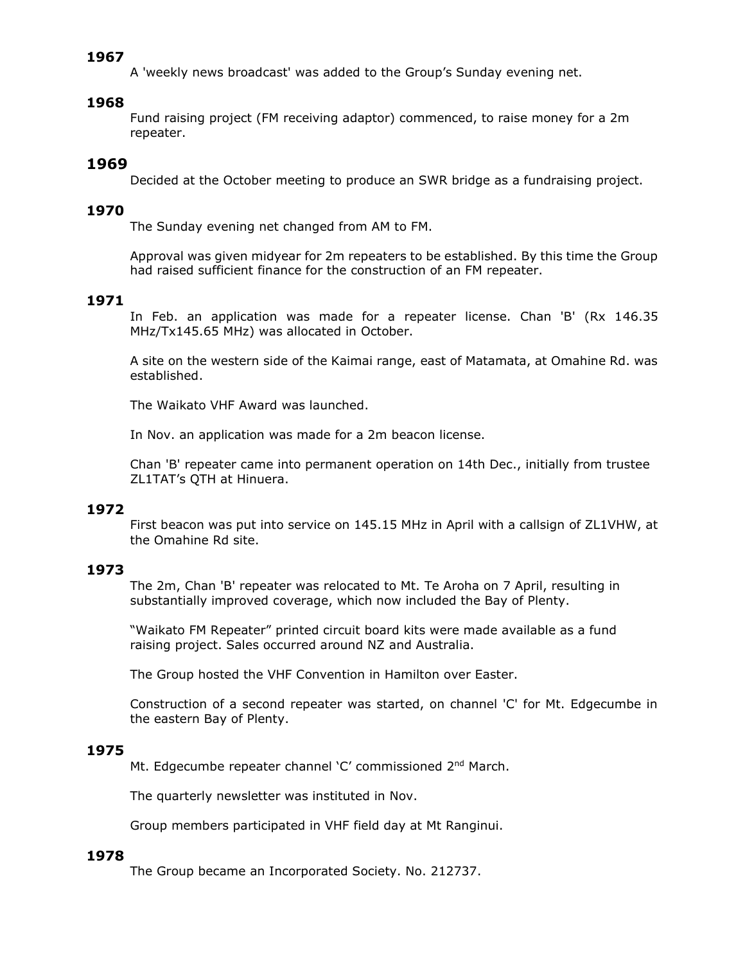A 'weekly news broadcast' was added to the Group's Sunday evening net.

## **1968**

Fund raising project (FM receiving adaptor) commenced, to raise money for a 2m repeater.

# **1969**

Decided at the October meeting to produce an SWR bridge as a fundraising project.

## **1970**

The Sunday evening net changed from AM to FM.

Approval was given midyear for 2m repeaters to be established. By this time the Group had raised sufficient finance for the construction of an FM repeater.

# **1971**

In Feb. an application was made for a repeater license. Chan 'B' (Rx 146.35 MHz/Tx145.65 MHz) was allocated in October.

A site on the western side of the Kaimai range, east of Matamata, at Omahine Rd. was established.

The Waikato VHF Award was launched.

In Nov. an application was made for a 2m beacon license.

Chan 'B' repeater came into permanent operation on 14th Dec., initially from trustee ZL1TAT's QTH at Hinuera.

# **1972**

First beacon was put into service on 145.15 MHz in April with a callsign of ZL1VHW, at the Omahine Rd site.

# **1973**

The 2m, Chan 'B' repeater was relocated to Mt. Te Aroha on 7 April, resulting in substantially improved coverage, which now included the Bay of Plenty.

"Waikato FM Repeater" printed circuit board kits were made available as a fund raising project. Sales occurred around NZ and Australia.

The Group hosted the VHF Convention in Hamilton over Easter.

Construction of a second repeater was started, on channel 'C' for Mt. Edgecumbe in the eastern Bay of Plenty.

# **1975**

Mt. Edgecumbe repeater channel 'C' commissioned 2<sup>nd</sup> March.

The quarterly newsletter was instituted in Nov.

Group members participated in VHF field day at Mt Ranginui.

#### **1978**

The Group became an Incorporated Society. No. 212737.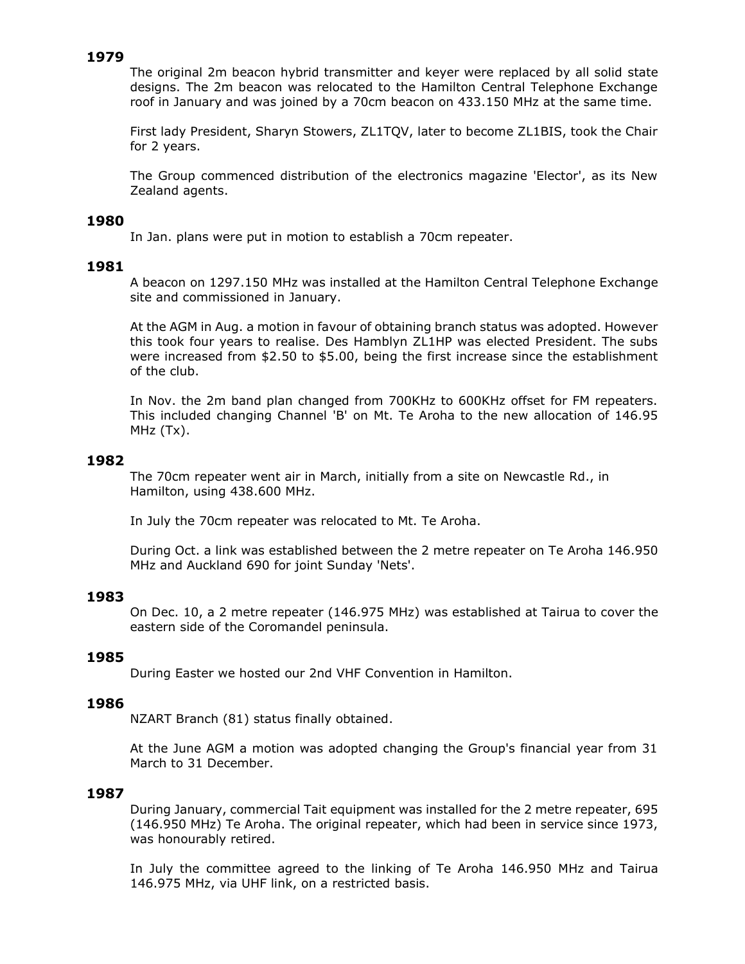The original 2m beacon hybrid transmitter and keyer were replaced by all solid state designs. The 2m beacon was relocated to the Hamilton Central Telephone Exchange roof in January and was joined by a 70cm beacon on 433.150 MHz at the same time.

First lady President, Sharyn Stowers, ZL1TQV, later to become ZL1BIS, took the Chair for 2 years.

The Group commenced distribution of the electronics magazine 'Elector', as its New Zealand agents.

## **1980**

In Jan. plans were put in motion to establish a 70cm repeater.

# **1981**

A beacon on 1297.150 MHz was installed at the Hamilton Central Telephone Exchange site and commissioned in January.

At the AGM in Aug. a motion in favour of obtaining branch status was adopted. However this took four years to realise. Des Hamblyn ZL1HP was elected President. The subs were increased from \$2.50 to \$5.00, being the first increase since the establishment of the club.

In Nov. the 2m band plan changed from 700KHz to 600KHz offset for FM repeaters. This included changing Channel 'B' on Mt. Te Aroha to the new allocation of 146.95 MHz (Tx).

## **1982**

The 70cm repeater went air in March, initially from a site on Newcastle Rd., in Hamilton, using 438.600 MHz.

In July the 70cm repeater was relocated to Mt. Te Aroha.

During Oct. a link was established between the 2 metre repeater on Te Aroha 146.950 MHz and Auckland 690 for joint Sunday 'Nets'.

# **1983**

On Dec. 10, a 2 metre repeater (146.975 MHz) was established at Tairua to cover the eastern side of the Coromandel peninsula.

# **1985**

During Easter we hosted our 2nd VHF Convention in Hamilton.

## **1986**

NZART Branch (81) status finally obtained.

At the June AGM a motion was adopted changing the Group's financial year from 31 March to 31 December.

#### **1987**

During January, commercial Tait equipment was installed for the 2 metre repeater, 695 (146.950 MHz) Te Aroha. The original repeater, which had been in service since 1973, was honourably retired.

In July the committee agreed to the linking of Te Aroha 146.950 MHz and Tairua 146.975 MHz, via UHF link, on a restricted basis.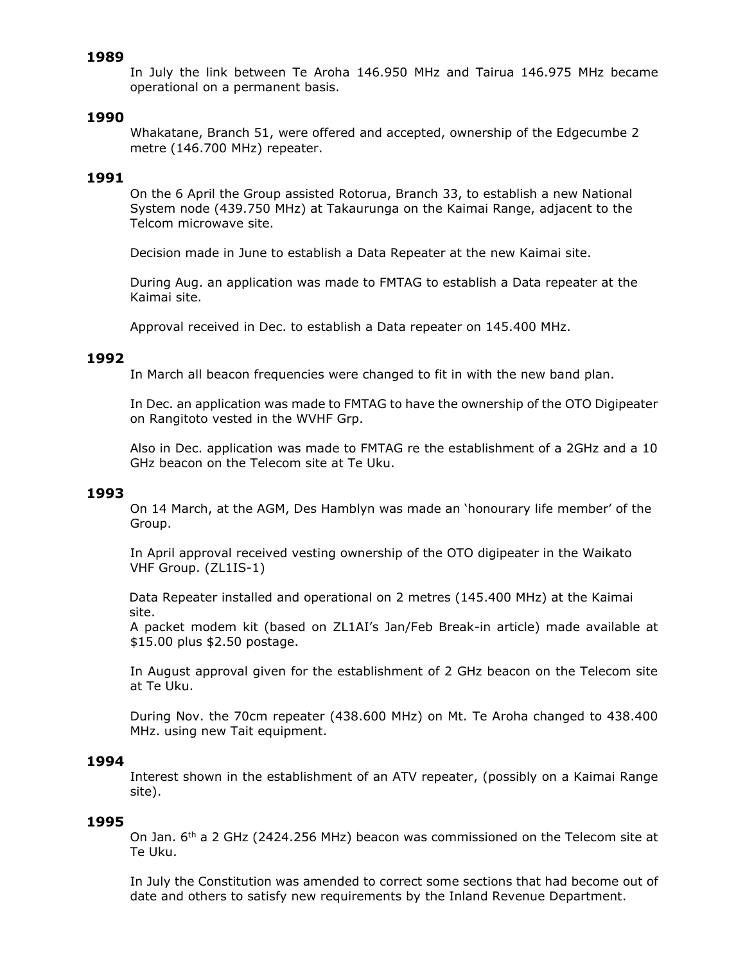In July the link between Te Aroha 146.950 MHz and Tairua 146.975 MHz became operational on a permanent basis.

## **1990**

Whakatane, Branch 51, were offered and accepted, ownership of the Edgecumbe 2 metre (146.700 MHz) repeater.

#### **1991**

On the 6 April the Group assisted Rotorua, Branch 33, to establish a new National System node (439.750 MHz) at Takaurunga on the Kaimai Range, adjacent to the Telcom microwave site.

Decision made in June to establish a Data Repeater at the new Kaimai site.

During Aug. an application was made to FMTAG to establish a Data repeater at the Kaimai site.

Approval received in Dec. to establish a Data repeater on 145.400 MHz.

#### **1992**

In March all beacon frequencies were changed to fit in with the new band plan.

In Dec. an application was made to FMTAG to have the ownership of the OTO Digipeater on Rangitoto vested in the WVHF Grp.

Also in Dec. application was made to FMTAG re the establishment of a 2GHz and a 10 GHz beacon on the Telecom site at Te Uku.

#### **1993**

On 14 March, at the AGM, Des Hamblyn was made an 'honourary life member' of the Group.

In April approval received vesting ownership of the OTO digipeater in the Waikato VHF Group. (ZL1IS-1)

Data Repeater installed and operational on 2 metres (145.400 MHz) at the Kaimai site.

A packet modem kit (based on ZL1AI's Jan/Feb Break-in article) made available at \$15.00 plus \$2.50 postage.

In August approval given for the establishment of 2 GHz beacon on the Telecom site at Te Uku.

During Nov. the 70cm repeater (438.600 MHz) on Mt. Te Aroha changed to 438.400 MHz. using new Tait equipment.

#### **1994**

Interest shown in the establishment of an ATV repeater, (possibly on a Kaimai Range site).

#### **1995**

On Jan. 6<sup>th</sup> a 2 GHz (2424.256 MHz) beacon was commissioned on the Telecom site at Te Uku.

In July the Constitution was amended to correct some sections that had become out of date and others to satisfy new requirements by the Inland Revenue Department.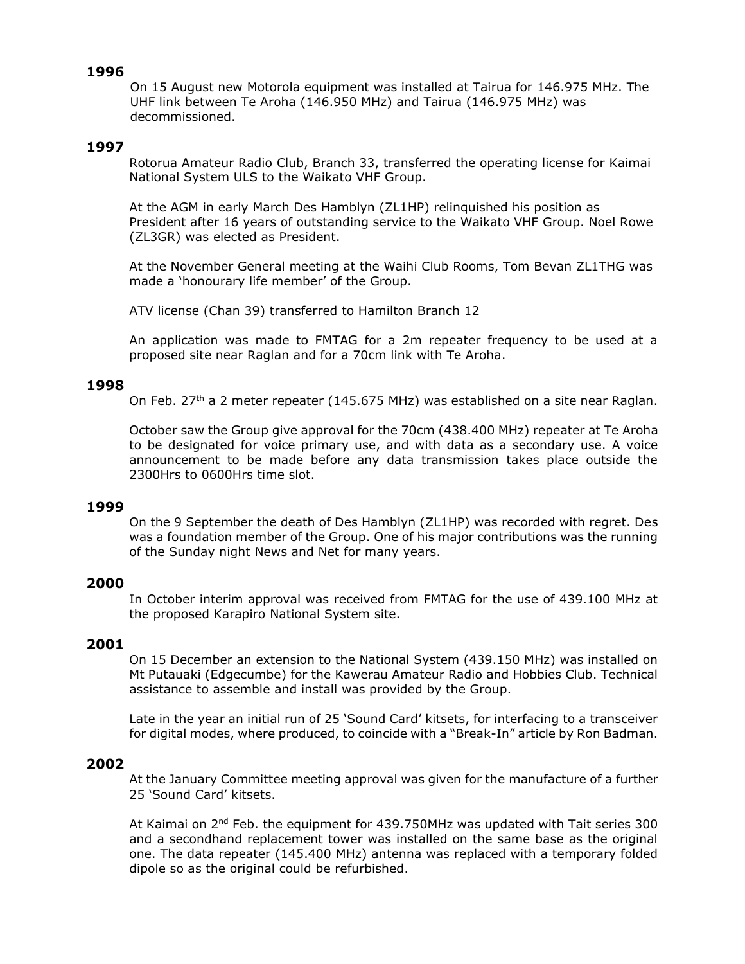On 15 August new Motorola equipment was installed at Tairua for 146.975 MHz. The UHF link between Te Aroha (146.950 MHz) and Tairua (146.975 MHz) was decommissioned.

# **1997**

Rotorua Amateur Radio Club, Branch 33, transferred the operating license for Kaimai National System ULS to the Waikato VHF Group.

At the AGM in early March Des Hamblyn (ZL1HP) relinquished his position as President after 16 years of outstanding service to the Waikato VHF Group. Noel Rowe (ZL3GR) was elected as President.

At the November General meeting at the Waihi Club Rooms, Tom Bevan ZL1THG was made a 'honourary life member' of the Group.

ATV license (Chan 39) transferred to Hamilton Branch 12

An application was made to FMTAG for a 2m repeater frequency to be used at a proposed site near Raglan and for a 70cm link with Te Aroha.

#### **1998**

On Feb.  $27<sup>th</sup>$  a 2 meter repeater (145.675 MHz) was established on a site near Raglan.

October saw the Group give approval for the 70cm (438.400 MHz) repeater at Te Aroha to be designated for voice primary use, and with data as a secondary use. A voice announcement to be made before any data transmission takes place outside the 2300Hrs to 0600Hrs time slot.

#### **1999**

On the 9 September the death of Des Hamblyn (ZL1HP) was recorded with regret. Des was a foundation member of the Group. One of his major contributions was the running of the Sunday night News and Net for many years.

## **2000**

In October interim approval was received from FMTAG for the use of 439.100 MHz at the proposed Karapiro National System site.

## **2001**

On 15 December an extension to the National System (439.150 MHz) was installed on Mt Putauaki (Edgecumbe) for the Kawerau Amateur Radio and Hobbies Club. Technical assistance to assemble and install was provided by the Group.

Late in the year an initial run of 25 'Sound Card' kitsets, for interfacing to a transceiver for digital modes, where produced, to coincide with a "Break-In" article by Ron Badman.

## **2002**

At the January Committee meeting approval was given for the manufacture of a further 25 'Sound Card' kitsets.

At Kaimai on 2<sup>nd</sup> Feb. the equipment for 439.750MHz was updated with Tait series 300 and a secondhand replacement tower was installed on the same base as the original one. The data repeater (145.400 MHz) antenna was replaced with a temporary folded dipole so as the original could be refurbished.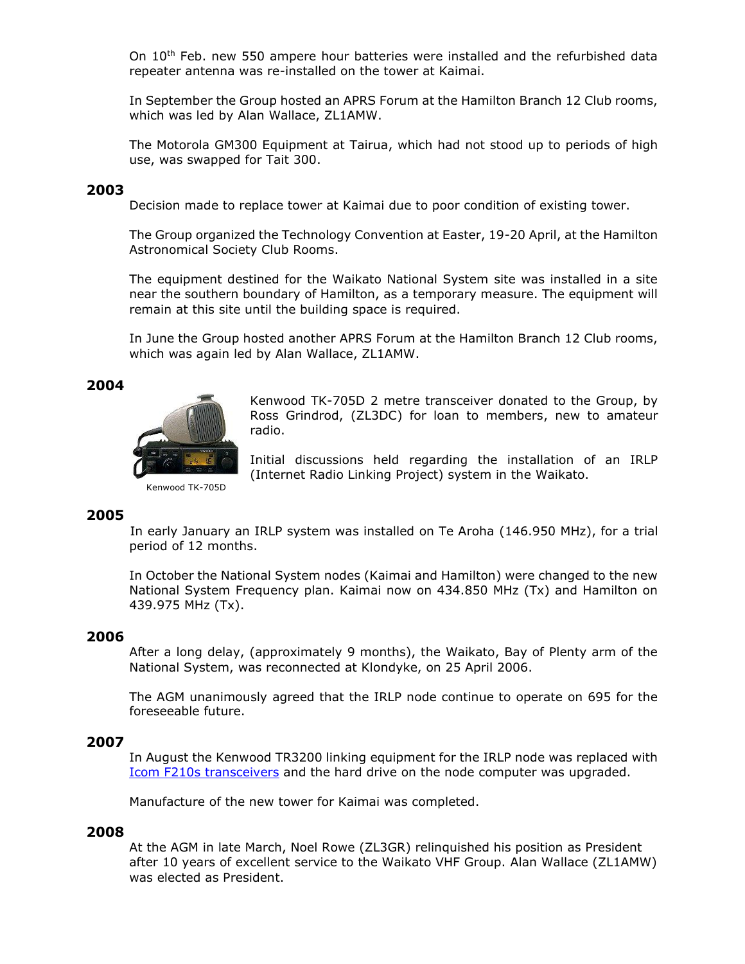On 10<sup>th</sup> Feb. new 550 ampere hour batteries were installed and the refurbished data repeater antenna was re-installed on the tower at Kaimai.

In September the Group hosted an APRS Forum at the Hamilton Branch 12 Club rooms, which was led by Alan Wallace, ZL1AMW.

The Motorola GM300 Equipment at Tairua, which had not stood up to periods of high use, was swapped for Tait 300.

# **2003**

Decision made to replace tower at Kaimai due to poor condition of existing tower.

The Group organized the Technology Convention at Easter, 19-20 April, at the Hamilton Astronomical Society Club Rooms.

The equipment destined for the Waikato National System site was installed in a site near the southern boundary of Hamilton, as a temporary measure. The equipment will remain at this site until the building space is required.

In June the Group hosted another APRS Forum at the Hamilton Branch 12 Club rooms, which was again led by Alan Wallace, ZL1AMW.

# **2004**



Kenwood TK-705D 2 metre transceiver donated to the Group, by Ross Grindrod, (ZL3DC) for loan to members, new to amateur radio.

Initial discussions held regarding the installation of an IRLP (Internet Radio Linking Project) system in the Waikato.

Kenwood TK-705D

# **2005**

In early January an IRLP system was installed on Te Aroha (146.950 MHz), for a trial period of 12 months.

In October the National System nodes (Kaimai and Hamilton) were changed to the new National System Frequency plan. Kaimai now on 434.850 MHz (Tx) and Hamilton on 439.975 MHz (Tx).

#### **2006**

After a long delay, (approximately 9 months), the Waikato, Bay of Plenty arm of the National System, was reconnected at Klondyke, on 25 April 2006.

The AGM unanimously agreed that the IRLP node continue to operate on 695 for the foreseeable future.

### **2007**

In August the Kenwood TR3200 linking equipment for the IRLP node was replaced with [Icom F210s transceivers](http://www.icom.co.jp/world/products/land_mobile/mobile/ic-f110/spec.html) and the hard drive on the node computer was upgraded.

Manufacture of the new tower for Kaimai was completed.

#### **2008**

At the AGM in late March, Noel Rowe (ZL3GR) relinquished his position as President after 10 years of excellent service to the Waikato VHF Group. Alan Wallace (ZL1AMW) was elected as President.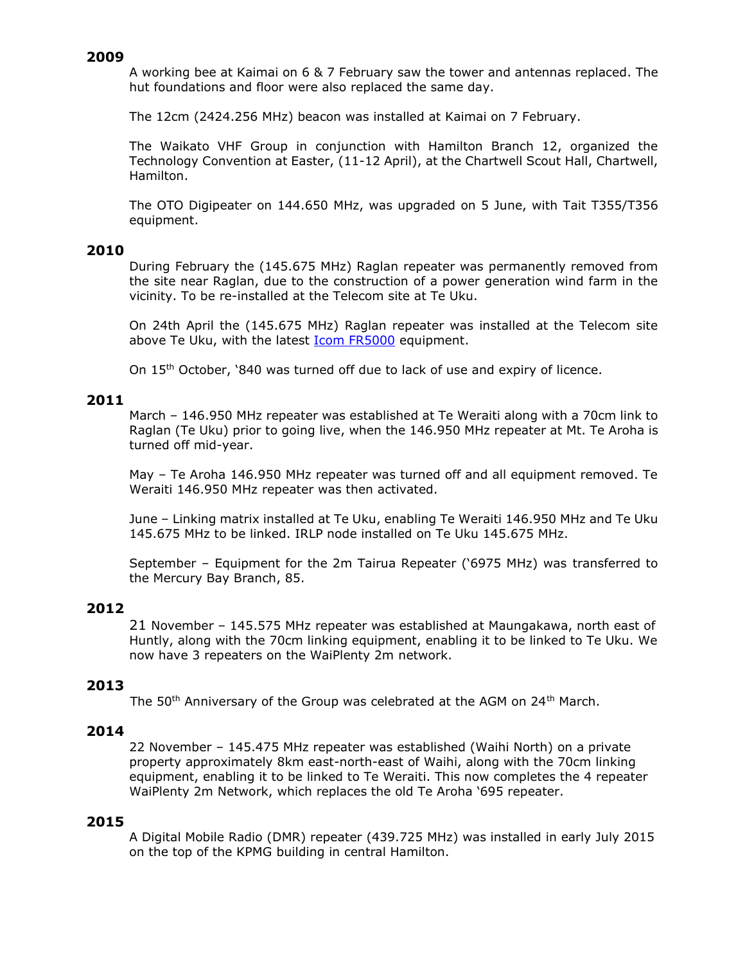A working bee at Kaimai on 6 & 7 February saw the tower and antennas replaced. The hut foundations and floor were also replaced the same day.

The 12cm (2424.256 MHz) beacon was installed at Kaimai on 7 February.

The Waikato VHF Group in conjunction with Hamilton Branch 12, organized the Technology Convention at Easter, (11-12 April), at the Chartwell Scout Hall, Chartwell, Hamilton.

The OTO Digipeater on 144.650 MHz, was upgraded on 5 June, with Tait T355/T356 equipment.

# **2010**

During February the (145.675 MHz) Raglan repeater was permanently removed from the site near Raglan, due to the construction of a power generation wind farm in the vicinity. To be re-installed at the Telecom site at Te Uku.

On 24th April the (145.675 MHz) Raglan repeater was installed at the Telecom site above Te Uku, with the latest **Icom FR5000** equipment.

On 15<sup>th</sup> October, '840 was turned off due to lack of use and expiry of licence.

# **2011**

March – 146.950 MHz repeater was established at Te Weraiti along with a 70cm link to Raglan (Te Uku) prior to going live, when the 146.950 MHz repeater at Mt. Te Aroha is turned off mid-year.

May – Te Aroha 146.950 MHz repeater was turned off and all equipment removed. Te Weraiti 146.950 MHz repeater was then activated.

June – Linking matrix installed at Te Uku, enabling Te Weraiti 146.950 MHz and Te Uku 145.675 MHz to be linked. IRLP node installed on Te Uku 145.675 MHz.

September – Equipment for the 2m Tairua Repeater ('6975 MHz) was transferred to the Mercury Bay Branch, 85.

# **2012**

21 November – 145.575 MHz repeater was established at Maungakawa, north east of Huntly, along with the 70cm linking equipment, enabling it to be linked to Te Uku. We now have 3 repeaters on the WaiPlenty 2m network.

# **2013**

The 50<sup>th</sup> Anniversary of the Group was celebrated at the AGM on 24<sup>th</sup> March.

#### **2014**

22 November – 145.475 MHz repeater was established (Waihi North) on a private property approximately 8km east-north-east of Waihi, along with the 70cm linking equipment, enabling it to be linked to Te Weraiti. This now completes the 4 repeater WaiPlenty 2m Network, which replaces the old Te Aroha '695 repeater.

# **2015**

A Digital Mobile Radio (DMR) repeater (439.725 MHz) was installed in early July 2015 on the top of the KPMG building in central Hamilton.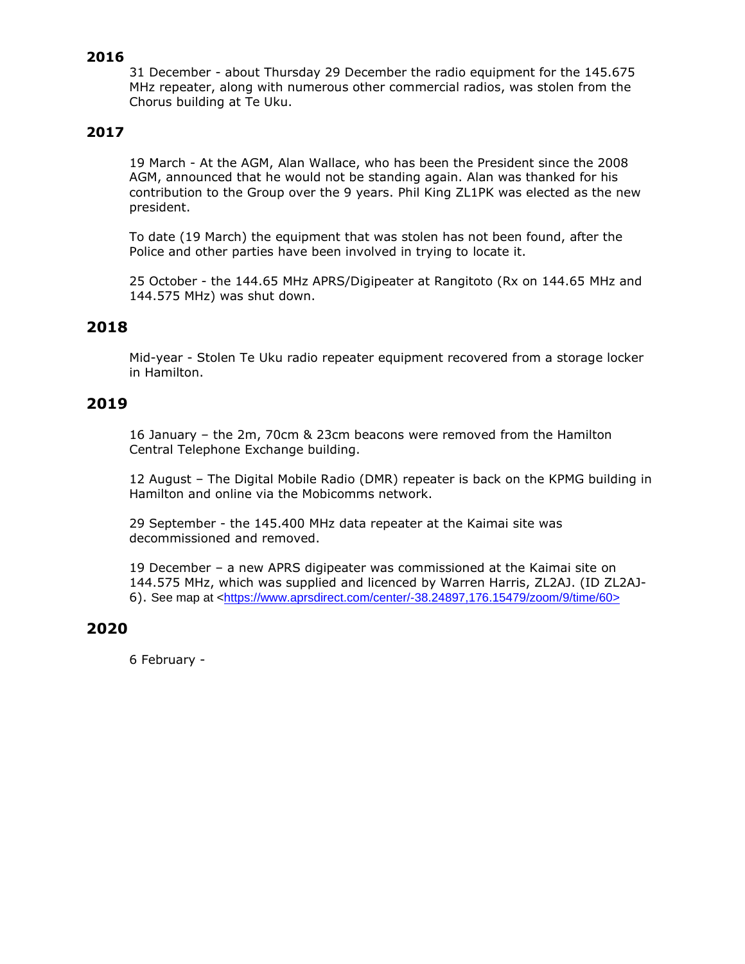31 December - about Thursday 29 December the radio equipment for the 145.675 MHz repeater, along with numerous other commercial radios, was stolen from the Chorus building at Te Uku.

# **2017**

19 March - At the AGM, Alan Wallace, who has been the President since the 2008 AGM, announced that he would not be standing again. Alan was thanked for his contribution to the Group over the 9 years. Phil King ZL1PK was elected as the new president.

To date (19 March) the equipment that was stolen has not been found, after the Police and other parties have been involved in trying to locate it.

25 October - the 144.65 MHz APRS/Digipeater at Rangitoto (Rx on 144.65 MHz and 144.575 MHz) was shut down.

# **2018**

Mid-year - Stolen Te Uku radio repeater equipment recovered from a storage locker in Hamilton.

# **2019**

16 January – the 2m, 70cm & 23cm beacons were removed from the Hamilton Central Telephone Exchange building.

12 August – The Digital Mobile Radio (DMR) repeater is back on the KPMG building in Hamilton and online via the Mobicomms network.

29 September - the 145.400 MHz data repeater at the Kaimai site was decommissioned and removed.

19 December – a new APRS digipeater was commissioned at the Kaimai site on 144.575 MHz, which was supplied and licenced by Warren Harris, ZL2AJ. (ID ZL2AJ-6). See map at <https://www.aprsdirect.com/center/-38.24897,176.15479/zoom/9/time/60>

# **2020**

6 February -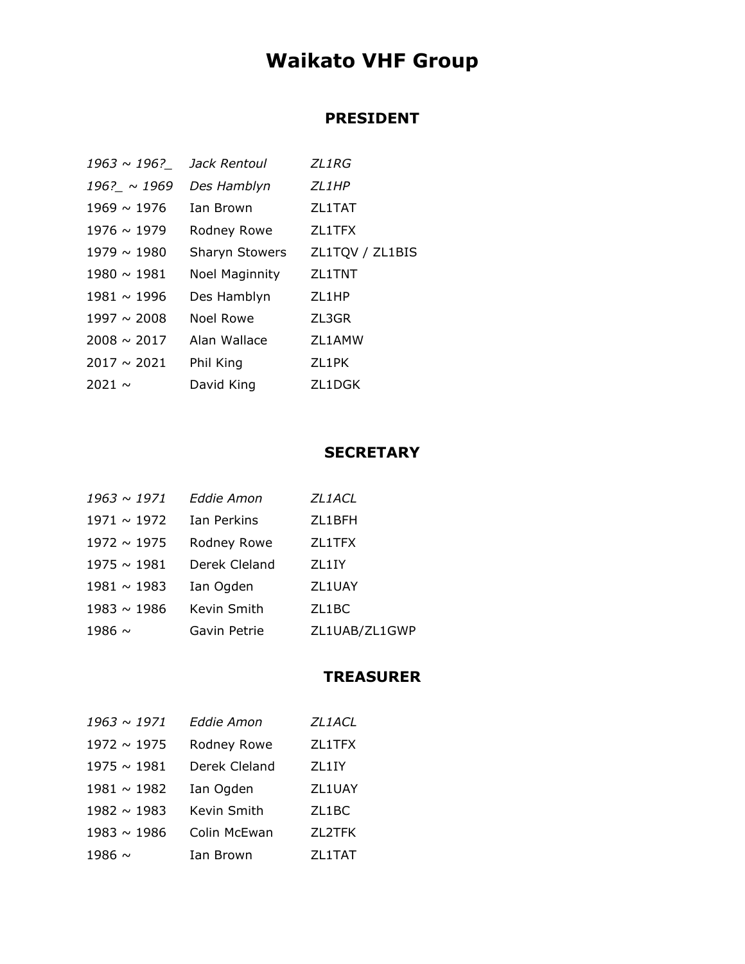# **Waikato VHF Group**

# **PRESIDENT**

| 1963 ~ 196?      | Jack Rentoul   | ZL1RG           |
|------------------|----------------|-----------------|
| $196? \sim 1969$ | Des Hamblyn    | ZL1HP           |
| $1969 \sim 1976$ | Ian Brown      | ZL1TAT          |
| $1976 \sim 1979$ | Rodney Rowe    | ZL1TFX          |
| $1979 \sim 1980$ | Sharyn Stowers | ZL1TQV / ZL1BIS |
| $1980 \sim 1981$ | Noel Maginnity | ZL1TNT          |
| $1981 \sim 1996$ | Des Hamblyn    | ZL1HP           |
| $1997 \sim 2008$ | Noel Rowe      | ZL3GR           |
| $2008 \sim 2017$ | Alan Wallace   | ZL1AMW          |
| $2017 \sim 2021$ | Phil King      | ZL1PK           |
| $2021 \sim$      | David King     | ZL1DGK          |

# **SECRETARY**

| $1963 \sim 1971$ | Eddie Amon    | ZL1ACL        |
|------------------|---------------|---------------|
| $1971 \sim 1972$ | Ian Perkins   | ZL1BFH        |
| $1972 \sim 1975$ | Rodney Rowe   | ZL1TFX        |
| $1975 \sim 1981$ | Derek Cleland | ZL1IY         |
| $1981 \sim 1983$ | Ian Ogden     | ZL1UAY        |
| $1983 \sim 1986$ | Kevin Smith   | ZL1BC         |
| 1986 $\sim$      | Gavin Petrie  | ZL1UAB/ZL1GWP |

# **TREASURER**

| $1963 \sim 1971$ | <b>Eddie Amon</b> | ZL1ACL |
|------------------|-------------------|--------|
| $1972 \sim 1975$ | Rodney Rowe       | ZL1TFX |
| $1975 \sim 1981$ | Derek Cleland     | ZL1IY  |
| $1981 \sim 1982$ | Ian Ogden         | ZL1UAY |
| $1982 \sim 1983$ | Kevin Smith       | ZL1BC  |
| $1983 \sim 1986$ | Colin McEwan      | ZL2TFK |
| 1986 $\sim$      | Ian Brown         | ZL1TAT |